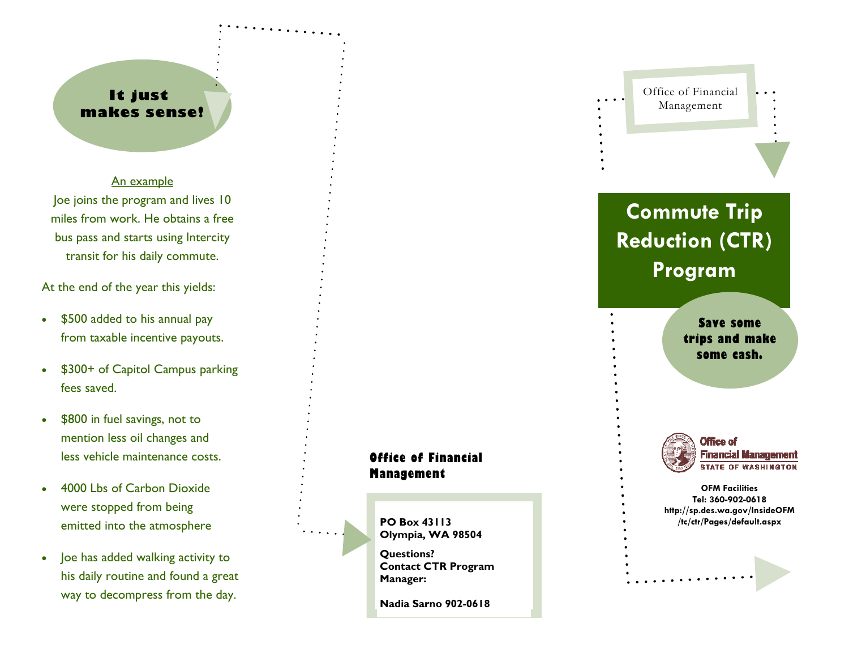## **It just makes sense!**

An example Joe joins the program and lives 10 miles from work. He obtains a free bus pass and starts using Intercity transit for his daily commute.

At the end of the year this yields:

- $\bullet$  \$500 added to his annual pay from taxable incentive payouts.
- $\bullet$  \$300+ of Capitol Campus parking fees saved.
- $\bullet$  \$800 in fuel savings, not to mention less oil changes and less vehicle maintenance costs.
- $\bullet$  4000 Lbs of Carbon Dioxide were stopped from being emitted into the atmosphere
- $\bullet$  Joe has added walking activity to his daily routine and found a great way to decompress from the day.



**PO Box 43113 Olympia, WA 98504** 

**Questions? Contact CTR Program Manager:** 

**Nadia Sarno 902-0618** 



# **Commute Trip Reduction (CTR) Program**

**Save some trips and make some cash.** 



**OFM Facilities Tel: 360-902-0618 http://sp.des.wa.gov/InsideOFM /tc/ctr/Pages/default.aspx**